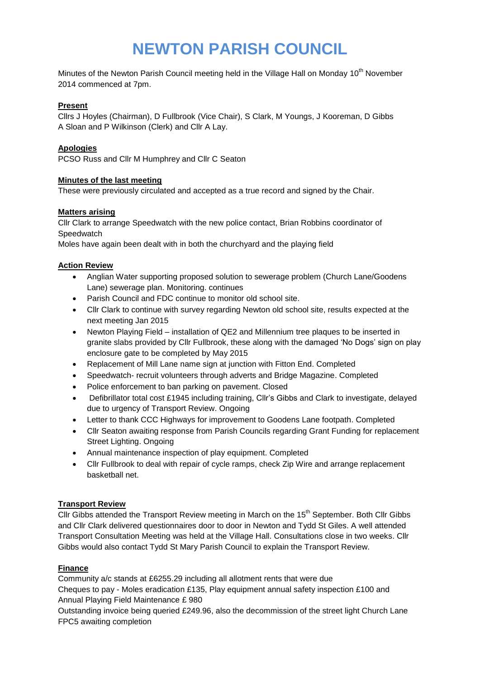# **NEWTON PARISH COUNCIL**

Minutes of the Newton Parish Council meeting held in the Village Hall on Monday 10<sup>th</sup> November 2014 commenced at 7pm.

#### **Present**

Cllrs J Hoyles (Chairman), D Fullbrook (Vice Chair), S Clark, M Youngs, J Kooreman, D Gibbs A Sloan and P Wilkinson (Clerk) and Cllr A Lay.

### **Apologies**

PCSO Russ and Cllr M Humphrey and Cllr C Seaton

#### **Minutes of the last meeting**

These were previously circulated and accepted as a true record and signed by the Chair.

#### **Matters arising**

Cllr Clark to arrange Speedwatch with the new police contact, Brian Robbins coordinator of **Speedwatch** 

Moles have again been dealt with in both the churchyard and the playing field

#### **Action Review**

- Anglian Water supporting proposed solution to sewerage problem (Church Lane/Goodens Lane) sewerage plan. Monitoring. continues
- Parish Council and FDC continue to monitor old school site.
- Cllr Clark to continue with survey regarding Newton old school site, results expected at the next meeting Jan 2015
- Newton Playing Field installation of QE2 and Millennium tree plaques to be inserted in granite slabs provided by Cllr Fullbrook, these along with the damaged 'No Dogs' sign on play enclosure gate to be completed by May 2015
- Replacement of Mill Lane name sign at junction with Fitton End. Completed
- Speedwatch- recruit volunteers through adverts and Bridge Magazine. Completed
- Police enforcement to ban parking on pavement. Closed
- Defibrillator total cost £1945 including training, Cllr's Gibbs and Clark to investigate, delayed due to urgency of Transport Review. Ongoing
- Letter to thank CCC Highways for improvement to Goodens Lane footpath. Completed
- Cllr Seaton awaiting response from Parish Councils regarding Grant Funding for replacement Street Lighting. Ongoing
- Annual maintenance inspection of play equipment. Completed
- Cllr Fullbrook to deal with repair of cycle ramps, check Zip Wire and arrange replacement basketball net.

#### **Transport Review**

Cllr Gibbs attended the Transport Review meeting in March on the 15<sup>th</sup> September. Both Cllr Gibbs and Cllr Clark delivered questionnaires door to door in Newton and Tydd St Giles. A well attended Transport Consultation Meeting was held at the Village Hall. Consultations close in two weeks. Cllr Gibbs would also contact Tydd St Mary Parish Council to explain the Transport Review.

# **Finance**

Community a/c stands at £6255.29 including all allotment rents that were due

Cheques to pay - Moles eradication £135, Play equipment annual safety inspection £100 and Annual Playing Field Maintenance £ 980

Outstanding invoice being queried £249.96, also the decommission of the street light Church Lane FPC5 awaiting completion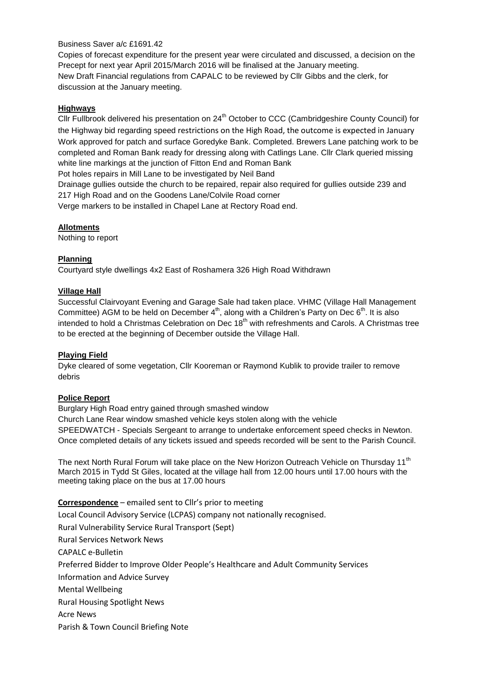#### Business Saver a/c £1691.42

Copies of forecast expenditure for the present year were circulated and discussed, a decision on the Precept for next year April 2015/March 2016 will be finalised at the January meeting. New Draft Financial regulations from CAPALC to be reviewed by Cllr Gibbs and the clerk, for discussion at the January meeting.

#### **Highways**

Cllr Fullbrook delivered his presentation on 24<sup>th</sup> October to CCC (Cambridgeshire County Council) for the Highway bid regarding speed restrictions on the High Road, the outcome is expected in January Work approved for patch and surface Goredyke Bank. Completed. Brewers Lane patching work to be completed and Roman Bank ready for dressing along with Catlings Lane. Cllr Clark queried missing white line markings at the junction of Fitton End and Roman Bank Pot holes repairs in Mill Lane to be investigated by Neil Band Drainage gullies outside the church to be repaired, repair also required for gullies outside 239 and 217 High Road and on the Goodens Lane/Colvile Road corner

Verge markers to be installed in Chapel Lane at Rectory Road end.

#### **Allotments**

Nothing to report

# **Planning**

Courtyard style dwellings 4x2 East of Roshamera 326 High Road Withdrawn

#### **Village Hall**

Successful Clairvoyant Evening and Garage Sale had taken place. VHMC (Village Hall Management Committee) AGM to be held on December  $4<sup>th</sup>$ , along with a Children's Party on Dec  $6<sup>th</sup>$ . It is also intended to hold a Christmas Celebration on Dec 18<sup>th</sup> with refreshments and Carols. A Christmas tree to be erected at the beginning of December outside the Village Hall.

#### **Playing Field**

Dyke cleared of some vegetation, Cllr Kooreman or Raymond Kublik to provide trailer to remove debris

# **Police Report**

Burglary High Road entry gained through smashed window Church Lane Rear window smashed vehicle keys stolen along with the vehicle SPEEDWATCH - Specials Sergeant to arrange to undertake enforcement speed checks in Newton. Once completed details of any tickets issued and speeds recorded will be sent to the Parish Council.

The next North Rural Forum will take place on the New Horizon Outreach Vehicle on Thursday 11<sup>th</sup> March 2015 in Tydd St Giles, located at the village hall from 12.00 hours until 17.00 hours with the meeting taking place on the bus at 17.00 hours

**Correspondence** – emailed sent to Cllr's prior to meeting Local Council Advisory Service (LCPAS) company not nationally recognised. Rural Vulnerability Service Rural Transport (Sept) Rural Services Network News CAPALC e-Bulletin Preferred Bidder to Improve Older People's Healthcare and Adult Community Services Information and Advice Survey Mental Wellbeing Rural Housing Spotlight News Acre News Parish & Town Council Briefing Note